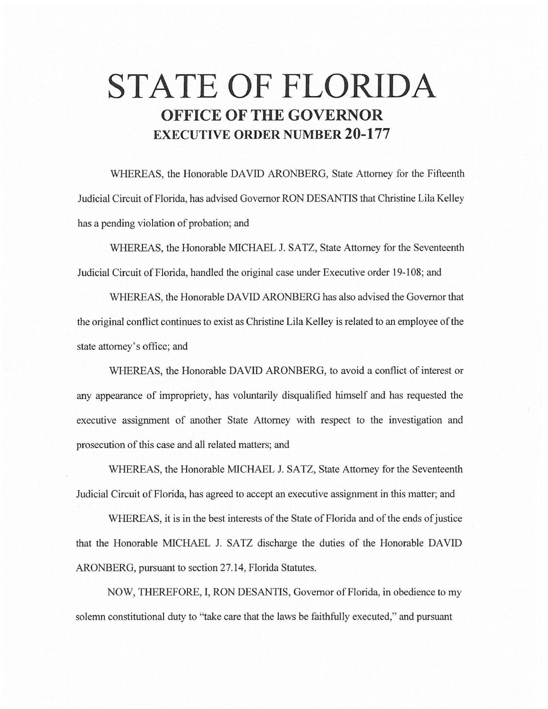# **STATE OF FLORIDA OFFICE OF THE GOVERNOR EXECUTIVE ORDER NUMBER 20-177**

WHEREAS, the Honorable DAVID ARONBERG, State Attorney for the Fifteenth Judicial Circuit of Florida, has advised Governor RON DESANTIS that Christine Lila Kelley has a pending violation of probation; and

WHEREAS, the Honorable MICHAEL J. SATZ, State Attorney for the Seventeenth Judicial Circuit of Florida, handled the original case under Executive order 19-108; and

WHEREAS, the Honorable DAVID ARONBERG has also advised the Governor that the original conflict continues to exist as Christine Lila Kelley is related to an employee of the state attorney's office; and

WHEREAS, the Honorable DAVID ARONBERG, to avoid a conflict of interest or any appearance of impropriety, has voluntarily disqualified himself and has requested the executive assignment of another State Attorney with respect to the investigation and prosecution of this case and all related matters; and

WHEREAS, the Honorable MICHAEL J. SATZ, State Attorney for the Seventeenth Judicial Circuit of Florida, has agreed to accept an executive assignment in this matter; and

WHEREAS, it is in the best interests of the State of Florida and of the ends of justice that the Honorable MICHAEL J. SATZ discharge the duties of the Honorable DAVID ARONBERG, pursuant to section 27.14, Florida Statutes.

NOW, THEREFORE, I, RON DESANTIS, Governor of Florida, in obedience to my solemn constitutional duty to "take care that the laws be faithfully executed," and pursuant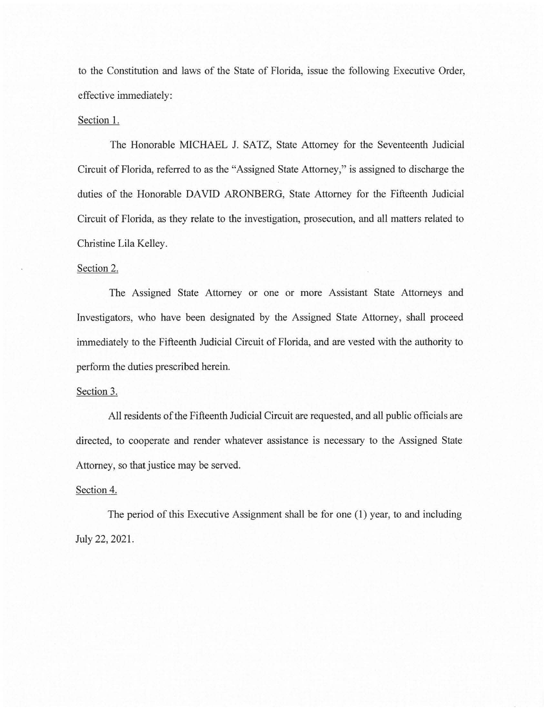to the Constitution and laws of the State of Florida, issue the following Executive Order, effective immediately:

## Section 1.

The Honorable MICHAEL J. SATZ, State Attorney for the Seventeenth Judicial Circuit of Florida, referred to as the "Assigned State Attorney," is assigned to discharge the duties of the Honorable DAVID ARONBERG, State Attorney for the Fifteenth Judicial Circuit of Florida, as they relate to the investigation, prosecution, and all matters related to Christine Lila Kelley.

### Section 2.

The Assigned State Attorney or one or more Assistant State Attorneys and Investigators, who have been designated by the Assigned State Attorney, shall proceed immediately to the Fifteenth Judicial Circuit of Florida, and are vested with the authority to perform the duties prescribed herein.

### Section 3.

All residents of the Fifteenth Judicial Circuit are requested, and all public officials are directed, to cooperate and render whatever assistance is necessary to the Assigned State Attorney, so that justice may be served.

### Section 4.

The period of this Executive Assignment shall be for one (1) year, to and including July 22, 2021.